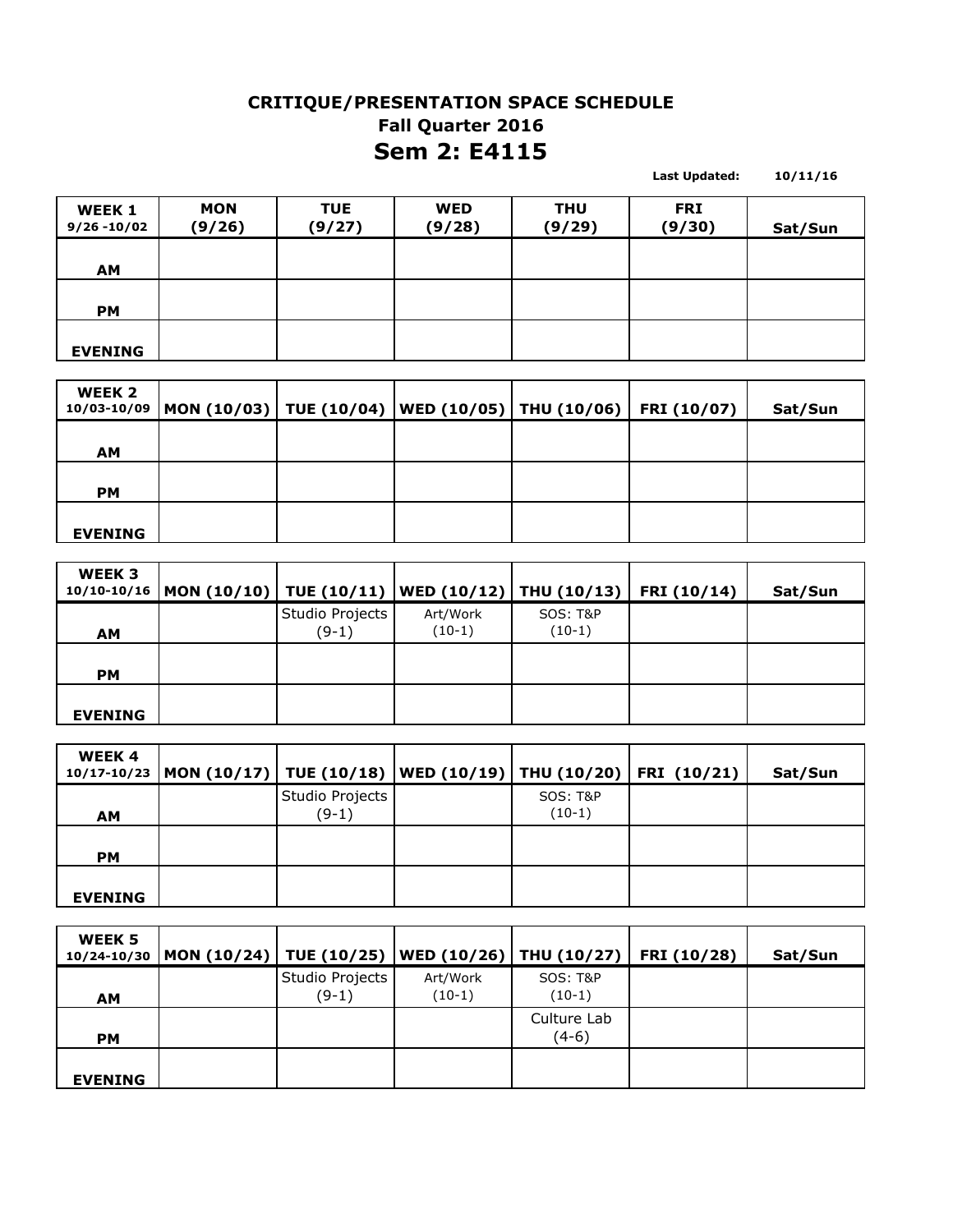## **CRITIQUE/PRESENTATION SPACE SCHEDULE Sem 2: E4115 Fall Quarter 2016**

**10/11/16**

**Last Updated:** 

**WEEK 1 9/26 -10/02 MON (9/26) TUE (9/27) WED (9/28) THU (9/29) FRI (9/30) Sat/Sun AM PM EVENING**

| WEEK 2         | $10/03 - 10/09$ MON (10/03)   TUE (10/04)  WED (10/05)   THU (10/06)   FRI (10/07) |  |  | Sat/Sun |
|----------------|------------------------------------------------------------------------------------|--|--|---------|
| <b>AM</b>      |                                                                                    |  |  |         |
| <b>PM</b>      |                                                                                    |  |  |         |
| <b>EVENING</b> |                                                                                    |  |  |         |

| WEEK 3         | 10/10-10/16   MON (10/10)   TUE (10/11)   WED (10/12)   THU (10/13)   FRI (10/14) |                            |                      |                                 | Sat/Sun |
|----------------|-----------------------------------------------------------------------------------|----------------------------|----------------------|---------------------------------|---------|
| <b>AM</b>      |                                                                                   | Studio Projects<br>$(9-1)$ | Art/Work<br>$(10-1)$ | <b>SOS: T&amp;P</b><br>$(10-1)$ |         |
| <b>PM</b>      |                                                                                   |                            |                      |                                 |         |
| <b>EVENING</b> |                                                                                   |                            |                      |                                 |         |

| <b>WEEK4</b>   | 10/17-10/23  MON (10/17)   TUE (10/18)   WED (10/19)   THU (10/20)   FRI (10/21) |                            |                                 | Sat/Sun |
|----------------|----------------------------------------------------------------------------------|----------------------------|---------------------------------|---------|
| <b>AM</b>      |                                                                                  | Studio Projects<br>$(9-1)$ | <b>SOS: T&amp;P</b><br>$(10-1)$ |         |
| <b>PM</b>      |                                                                                  |                            |                                 |         |
| <b>EVENING</b> |                                                                                  |                            |                                 |         |

| WEEK 5<br>10/24-10/30 | MON (10/24)   TUE (10/25)   WED (10/26)   THU (10/27)   FRI (10/28) |                            |                      |                                 | Sat/Sun |
|-----------------------|---------------------------------------------------------------------|----------------------------|----------------------|---------------------------------|---------|
| <b>AM</b>             |                                                                     | Studio Projects<br>$(9-1)$ | Art/Work<br>$(10-1)$ | <b>SOS: T&amp;P</b><br>$(10-1)$ |         |
| <b>PM</b>             |                                                                     |                            |                      | Culture Lab<br>$(4-6)$          |         |
| <b>EVENING</b>        |                                                                     |                            |                      |                                 |         |